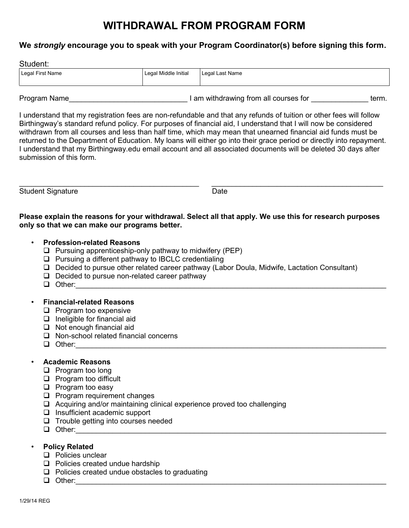# **WITHDRAWAL FROM PROGRAM FORM**

### **We** *strongly* **encourage you to speak with your Program Coordinator(s) before signing this form.**

|  |  | Student: |
|--|--|----------|
|--|--|----------|

| Legal First Name | Legal Middle Initial | Legal Last Name |
|------------------|----------------------|-----------------|
|                  |                      |                 |

Program Name\_\_\_\_\_\_\_\_\_\_\_\_\_\_\_\_\_\_\_\_\_\_\_\_\_\_\_\_\_ I am withdrawing from all courses for \_\_\_\_\_\_\_\_\_\_\_\_\_\_ term.

I understand that my registration fees are non-refundable and that any refunds of tuition or other fees will follow Birthingway's standard refund policy. For purposes of financial aid, I understand that I will now be considered withdrawn from all courses and less than half time, which may mean that unearned financial aid funds must be returned to the Department of Education. My loans will either go into their grace period or directly into repayment. I understand that my Birthingway.edu email account and all associated documents will be deleted 30 days after submission of this form.

Student Signature Date

\_\_\_\_\_\_\_\_\_\_\_\_\_\_\_\_\_\_\_\_\_\_\_\_\_\_\_\_\_\_\_\_\_\_\_\_\_\_\_\_\_\_\_\_ \_\_\_\_\_\_\_\_\_\_\_\_\_\_\_\_\_\_\_\_\_\_\_\_\_\_\_\_\_\_\_\_\_\_\_\_\_\_\_\_\_\_

**Please explain the reasons for your withdrawal. Select all that apply. We use this for research purposes only so that we can make our programs better.**

## • **Profession-related Reasons**

- $\Box$  Pursuing apprenticeship-only pathway to midwifery (PEP)
- $\Box$  Pursuing a different pathway to IBCLC credentialing
- Decided to pursue other related career pathway (Labor Doula, Midwife, Lactation Consultant)
- $\Box$  Decided to pursue non-related career pathway
- $\Box$  Other:

## • **Financial-related Reasons**

- $\Box$  Program too expensive
- $\Box$  Ineligible for financial aid
- $\Box$  Not enough financial aid
- □ Non-school related financial concerns
- $\Box$  Other:

## • **Academic Reasons**

- $\Box$  Program too long
- $\Box$  Program too difficult
- $\Box$  Program too easy
- **Program requirement changes**
- $\Box$  Acquiring and/or maintaining clinical experience proved too challenging
- $\Box$  Insufficient academic support
- $\Box$  Trouble getting into courses needed
- $\Box$  Other:

## • **Policy Related**

- $\Box$  Policies unclear
- $\Box$  Policies created undue hardship
- $\Box$  Policies created undue obstacles to graduating
- $\Box$  Other: